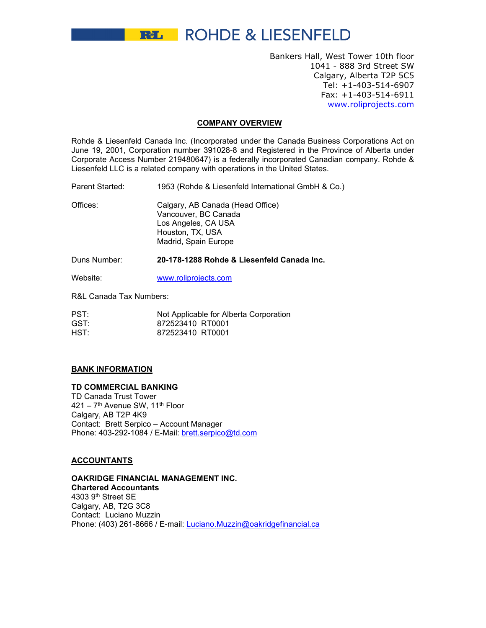**REL** ROHDE & LIESENFELD

Bankers Hall, West Tower 10th floor 1041 - 888 3rd Street SW Calgary, Alberta T2P 5C5 Tel: +1-403-514-6907 Fax: +1-403-514-6911 www.roliprojects.com

# **COMPANY OVERVIEW**

Rohde & Liesenfeld Canada Inc. (Incorporated under the Canada Business Corporations Act on June 19, 2001, Corporation number 391028-8 and Registered in the Province of Alberta under Corporate Access Number 219480647) is a federally incorporated Canadian company. Rohde & Liesenfeld LLC is a related company with operations in the United States.

Parent Started: 1953 (Rohde & Liesenfeld International GmbH & Co.)

Offices: Calgary, AB Canada (Head Office) Vancouver, BC Canada Los Angeles, CA USA Houston, TX, USA Madrid, Spain Europe

Duns Number: **20-178-1288 Rohde & Liesenfeld Canada Inc.**

Website: [www.roliprojects.com](http://www.roliprojects.com/)

R&L Canada Tax Numbers:

| PST: | Not Applicable for Alberta Corporation |
|------|----------------------------------------|
| GST: | 872523410 RT0001                       |
| HST: | 872523410 RT0001                       |

#### **BANK INFORMATION**

### **TD COMMERCIAL BANKING**

TD Canada Trust Tower 421 – 7<sup>th</sup> Avenue SW, 11<sup>th</sup> Floor Calgary, AB T2P 4K9 Contact: Brett Serpico – Account Manager Phone: 403-292-1084 / E-Mail: [brett.serpico@td.com](mailto:brett.serpico@td.com)

## **ACCOUNTANTS**

# **OAKRIDGE FINANCIAL MANAGEMENT INC. Chartered Accountants** 4303 9th Street SE Calgary, AB, T2G 3C8 Contact: Luciano Muzzin Phone: (403) 261-8666 / E-mail: [Luciano.Muzzin@oakridgefinancial.ca](mailto:Luciano.Muzzin@oakridgefinancial.ca)